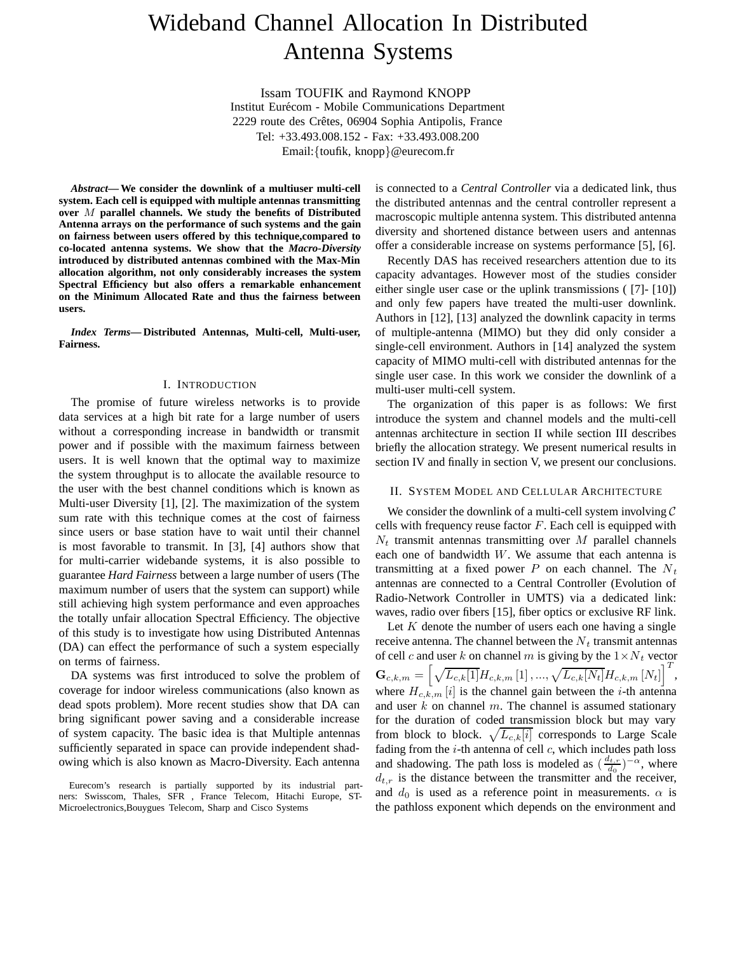# Wideband Channel Allocation In Distributed Antenna Systems

Issam TOUFIK and Raymond KNOPP Institut Eurécom - Mobile Communications Department 2229 route des Crêtes, 06904 Sophia Antipolis, France Tel: +33.493.008.152 - Fax: +33.493.008.200 Email:{toufik, knopp}@eurecom.fr

*Abstract***— We consider the downlink of a multiuser multi-cell system. Each cell is equipped with multiple antennas transmitting over** *M* **parallel channels. We study the benefits of Distributed Antenna arrays on the performance of such systems and the gain on fairness between users offered by this technique,compared to co-located antenna systems. We show that the** *Macro-Diversity* **introduced by distributed antennas combined with the Max-Min allocation algorithm, not only considerably increases the system Spectral Efficiency but also offers a remarkable enhancement on the Minimum Allocated Rate and thus the fairness between users.**

*Index Terms***— Distributed Antennas, Multi-cell, Multi-user, Fairness.**

#### I. INTRODUCTION

The promise of future wireless networks is to provide data services at a high bit rate for a large number of users without a corresponding increase in bandwidth or transmit power and if possible with the maximum fairness between users. It is well known that the optimal way to maximize the system throughput is to allocate the available resource to the user with the best channel conditions which is known as Multi-user Diversity [1], [2]. The maximization of the system sum rate with this technique comes at the cost of fairness since users or base station have to wait until their channel is most favorable to transmit. In [3], [4] authors show that for multi-carrier widebande systems, it is also possible to guarantee *Hard Fairness* between a large number of users (The maximum number of users that the system can support) while still achieving high system performance and even approaches the totally unfair allocation Spectral Efficiency. The objective of this study is to investigate how using Distributed Antennas (DA) can effect the performance of such a system especially on terms of fairness.

DA systems was first introduced to solve the problem of coverage for indoor wireless communications (also known as dead spots problem). More recent studies show that DA can bring significant power saving and a considerable increase of system capacity. The basic idea is that Multiple antennas sufficiently separated in space can provide independent shadowing which is also known as Macro-Diversity. Each antenna is connected to a *Central Controller* via a dedicated link, thus the distributed antennas and the central controller represent a macroscopic multiple antenna system. This distributed antenna diversity and shortened distance between users and antennas offer a considerable increase on systems performance [5], [6].

Recently DAS has received researchers attention due to its capacity advantages. However most of the studies consider either single user case or the uplink transmissions ( [7]- [10]) and only few papers have treated the multi-user downlink. Authors in [12], [13] analyzed the downlink capacity in terms of multiple-antenna (MIMO) but they did only consider a single-cell environment. Authors in [14] analyzed the system capacity of MIMO multi-cell with distributed antennas for the single user case. In this work we consider the downlink of a multi-user multi-cell system.

The organization of this paper is as follows: We first introduce the system and channel models and the multi-cell antennas architecture in section II while section III describes briefly the allocation strategy. We present numerical results in section IV and finally in section V, we present our conclusions.

#### II. SYSTEM MODEL AND CELLULAR ARCHITECTURE

We consider the downlink of a multi-cell system involving  $\mathcal C$ cells with frequency reuse factor  $F$ . Each cell is equipped with  $N_t$  transmit antennas transmitting over M parallel channels each one of bandwidth  $W$ . We assume that each antenna is transmitting at a fixed power P on each channel. The  $N_t$ antennas are connected to a Central Controller (Evolution of Radio-Network Controller in UMTS) via a dedicated link: waves, radio over fibers [15], fiber optics or exclusive RF link.

Let  $K$  denote the number of users each one having a single receive antenna. The channel between the  $N_t$  transmit antennas of cell c and user k on channel m is giving by the  $1 \times N_t$  vector  $\mathbf{G}_{c,k,m} = \left[ \sqrt{L_{c,k}[1]} H_{c,k,m} [1], ..., \sqrt{L_{c,k}[N_t]} H_{c,k,m} [N_t] \right]^T,$ where  $H_{c,k,m}[i]$  is the channel gain between the *i*-th antenna and user  $k$  on channel  $m$ . The channel is assumed stationary for the duration of coded transmission block but may vary from block to block.  $\sqrt{L_{c,k}[i]}$  corresponds to Large Scale<br>fading from the *i*-th antenna of cell c, which includes nath loss fading from the  $i$ -th antenna of cell  $c$ , which includes path loss and shadowing. The path loss is modeled as  $\left(\frac{d_{t,r}}{d_0}\right)^{-\alpha}$ , where d<sub>0</sub> is the distance between the transmitter and the receiver  $d_{t,r}$  is the distance between the transmitter and the receiver, and  $d_0$  is used as a reference point in measurements.  $\alpha$  is the pathloss exponent which depends on the environment and

Eurecom's research is partially supported by its industrial partners: Swisscom, Thales, SFR , France Telecom, Hitachi Europe, ST-Microelectronics,Bouygues Telecom, Sharp and Cisco Systems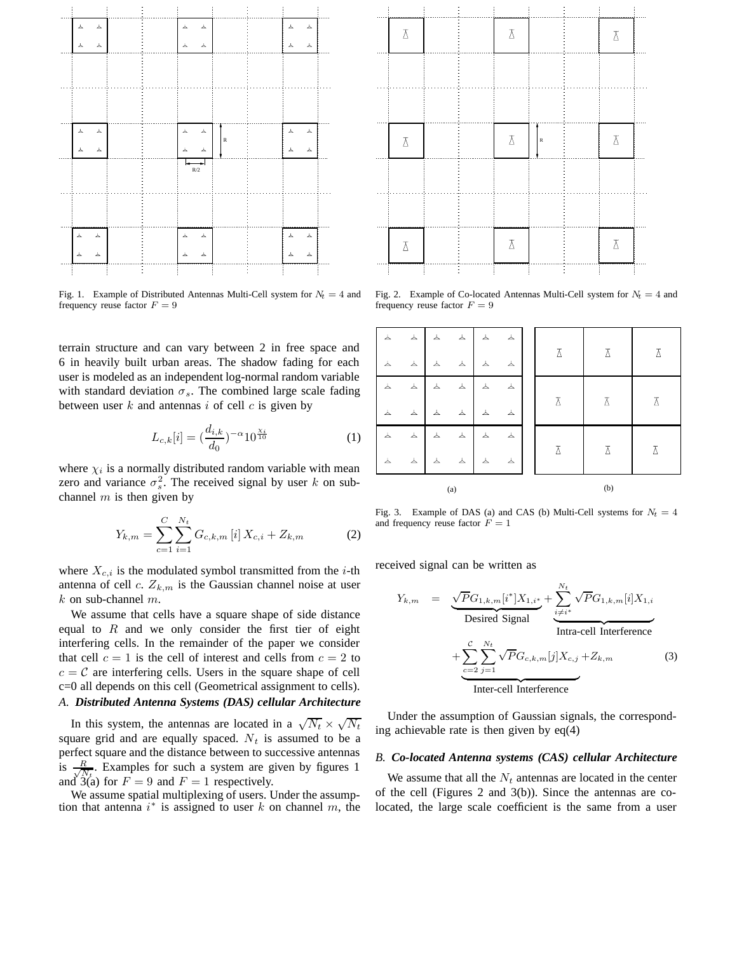

Fig. 1. Example of Distributed Antennas Multi-Cell system for  $N_t = 4$  and frequency reuse factor  $F = 9$ 

terrain structure and can vary between 2 in free space and 6 in heavily built urban areas. The shadow fading for each user is modeled as an independent log-normal random variable with standard deviation  $\sigma_s$ . The combined large scale fading between user  $k$  and antennas  $i$  of cell  $c$  is given by

$$
L_{c,k}[i] = \left(\frac{d_{i,k}}{d_0}\right)^{-\alpha} 10^{\frac{\chi_i}{10}} \tag{1}
$$

where  $\chi_i$  is a normally distributed random variable with mean zero and variance  $\sigma_s^2$ . The received signal by user k on subchannel  $m$  is then given by

$$
Y_{k,m} = \sum_{c=1}^{C} \sum_{i=1}^{N_t} G_{c,k,m} [i] X_{c,i} + Z_{k,m}
$$
 (2)

where  $X_{c,i}$  is the modulated symbol transmitted from the *i*-th antenna of cell c.  $Z_{k,m}$  is the Gaussian channel noise at user  $k$  on sub-channel  $m$ .

We assume that cells have a square shape of side distance equal to  $R$  and we only consider the first tier of eight interfering cells. In the remainder of the paper we consider that cell  $c = 1$  is the cell of interest and cells from  $c = 2$  to  $c = C$  are interfering cells. Users in the square shape of cell c=0 all depends on this cell (Geometrical assignment to cells). *A. Distributed Antenna Systems (DAS) cellular Architecture*

In this system, the antennas are located in a  $\sqrt{N_t} \times \sqrt{N_t}$ square grid and are equally spaced.  $N_t$  is assumed to be a perfect square and the distance between to successive antennas  $\frac{1}{18}$   $\frac{R}{\sqrt{N}}$  $\frac{R}{N_t}$ . Examples for such a system are given by figures 1 and  $3(a)$  for  $F = 9$  and  $F = 1$  respectively.

We assume spatial multiplexing of users. Under the assumption that antenna  $i^*$  is assigned to user k on channel m, the

| $\overline{\Delta}$ |  | $\overline{\Delta}$ |             | $\overline{\Delta}$ |  |
|---------------------|--|---------------------|-------------|---------------------|--|
|                     |  |                     |             |                     |  |
|                     |  |                     |             |                     |  |
| $\overline{\Delta}$ |  | $\overline{\Delta}$ | $\mathbb R$ | $\overline{\Delta}$ |  |
|                     |  |                     |             |                     |  |
|                     |  |                     |             |                     |  |
| $\overline{\Delta}$ |  | $\overline{\Delta}$ |             | $\overline{\Delta}$ |  |
|                     |  |                     |             |                     |  |

Fig. 2. Example of Co-located Antennas Multi-Cell system for  $N_t = 4$  and frequency reuse factor  $F = 9$ 

| 厶        | 厶                 | $\overline{\tau}$ | $\overline{\tau}$       | $\overline{\tau}$       | $\overline{\tau}$ |  | λ   | λ | Δ |
|----------|-------------------|-------------------|-------------------------|-------------------------|-------------------|--|-----|---|---|
| 厶        | $\blacktriangle$  | $\Delta$          | $\blacktriangle$        | 厶                       | $\overline{\tau}$ |  |     |   |   |
| 厶        | 厶                 | $\Delta$          | $\overline{\tau}$       | $\Delta$                | 厶                 |  |     | λ | λ |
| 厶        | $\overline{\tau}$ | $\overline{\tau}$ | 厶                       | $\overline{\mathbf{Y}}$ | $\overline{\tau}$ |  |     |   |   |
| 厶        | $\blacktriangle$  | $\overline{\tau}$ | $\blacktriangle$        | $\Delta$                | $\Delta$          |  |     |   |   |
| $\Delta$ | $\blacktriangle$  | 厶                 | $\overline{\mathbf{Y}}$ | $\Delta$                | $\Delta$          |  |     | Ā | Δ |
| (a)      |                   |                   |                         |                         |                   |  | (b) |   |   |

Fig. 3. Example of DAS (a) and CAS (b) Multi-Cell systems for  $N_t = 4$ and frequency reuse factor  $F = 1$ 

received signal can be written as

$$
Y_{k,m} = \underbrace{\sqrt{P}G_{1,k,m}[i^*]X_{1,i^*}}_{\text{Desired Signal}} + \underbrace{\sum_{i \neq i^*}^{N_t} \sqrt{P}G_{1,k,m}[i]X_{1,i}}_{\text{Intra-cell Interference}} + \underbrace{\sum_{c=2}^{C} \sum_{j=1}^{N_t} \sqrt{P}G_{c,k,m}[j]X_{c,j} + Z_{k,m}}_{\text{Inter-cell Interference}}
$$
(3)

Under the assumption of Gaussian signals, the corresponding achievable rate is then given by eq(4)

## *B. Co-located Antenna systems (CAS) cellular Architecture*

We assume that all the  $N_t$  antennas are located in the center of the cell (Figures 2 and 3(b)). Since the antennas are colocated, the large scale coefficient is the same from a user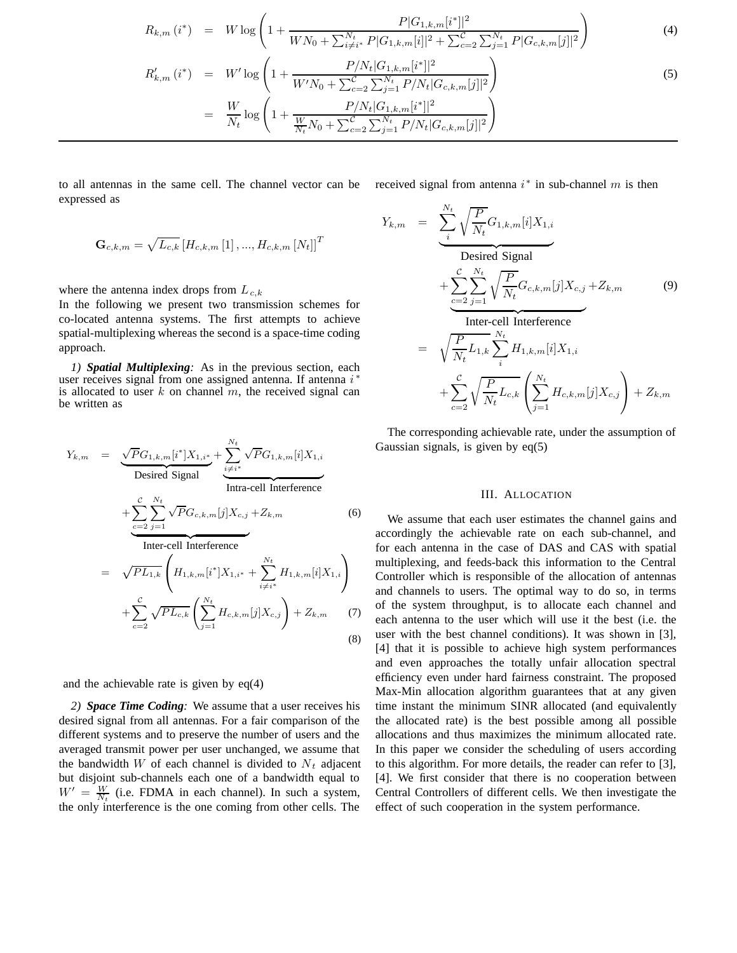$$
R_{k,m} (i^*) = W \log \left( 1 + \frac{P|G_{1,k,m}[i^*]|^2}{WN_0 + \sum_{i \neq i^*}^{N_t} P|G_{1,k,m}[i]|^2 + \sum_{c=2}^C \sum_{j=1}^{N_t} P|G_{c,k,m}[j]|^2} \right)
$$
\n
$$
R'_{k,m} (i^*) = W' \log \left( 1 + \frac{P/N_t|G_{1,k,m}[i^*]|^2}{W'N_0 + \sum_{c=2}^C \sum_{j=1}^{N_t} P/N_t|G_{c,k,m}[j]|^2} \right)
$$
\n
$$
= \frac{W}{N_t} \log \left( 1 + \frac{P/N_t|G_{1,k,m}[i^*]|^2}{\frac{W}{N_t}N_0 + \sum_{c=2}^C \sum_{j=1}^{N_t} P/N_t|G_{c,k,m}[j]|^2} \right)
$$
\n(5)

to all antennas in the same cell. The channel vector can be expressed as

$$
\mathbf{G}_{c,k,m} = \sqrt{L_{c,k}} \left[ H_{c,k,m} \left[ 1 \right], ..., H_{c,k,m} \left[ N_t \right] \right]^T
$$

where the antenna index drops from  $L_{c,k}$ 

In the following we present two transmission schemes for co-located antenna systems. The first attempts to achieve spatial-multiplexing whereas the second is a space-time coding approach.

*1) Spatial Multiplexing:* As in the previous section, each user receives signal from one assigned antenna. If antenna  $i^*$ is allocated to user  $k$  on channel  $m$ , the received signal can be written as

$$
Y_{k,m} = \underbrace{\sqrt{P}G_{1,k,m}[i^*]X_{1,i^*}}_{\text{Desired Signal}} + \underbrace{\sum_{i \neq i^*}^{N_t} \sqrt{P}G_{1,k,m}[i]X_{1,i}}_{\text{Intra-cell Interference}} + \underbrace{\sum_{c=2}^{C} \sum_{j=1}^{N_t} \sqrt{P}G_{c,k,m}[j]X_{c,j} + Z_{k,m}}_{\text{Inter-cell Interference}} \qquad (6)
$$
\n
$$
= \sqrt{PL_{1,k}} \left( H_{1,k,m}[i^*]X_{1,i^*} + \sum_{i \neq i^*}^{N_t} H_{1,k,m}[i]X_{1,i} \right) + \sum_{c=2}^{C} \sqrt{PL_{c,k}} \left( \sum_{j=1}^{N_t} H_{c,k,m}[j]X_{c,j} \right) + Z_{k,m} \qquad (7)
$$

(8)

and the achievable rate is given by eq(4)

*2) Space Time Coding:* We assume that a user receives his desired signal from all antennas. For a fair comparison of the different systems and to preserve the number of users and the averaged transmit power per user unchanged, we assume that the bandwidth W of each channel is divided to  $N_t$  adjacent but disjoint sub-channels each one of a bandwidth equal to  $W' = \frac{W}{N_t}$  (i.e. FDMA in each channel). In such a system, the only interference is the one coming from other cells. The

received signal from antenna  $i^*$  in sub-channel m is then

$$
Y_{k,m} = \underbrace{\sum_{i}^{N_t} \sqrt{\frac{P}{N_t}} G_{1,k,m}[i] X_{1,i}}_{\text{Desired Signal}} + \underbrace{\sum_{c=2}^{C} \sum_{j=1}^{N_t} \sqrt{\frac{P}{N_t}} G_{c,k,m}[j] X_{c,j}}_{\text{Inter-cell Interference}} + \underbrace{\sqrt{\frac{P}{N_t} L_{1,k} \sum_{i}^{N_t} H_{1,k,m}[i] X_{1,i}}}_{\text{max} + \sum_{c=2}^{C} \sqrt{\frac{P}{N_t} L_{c,k}} \left( \sum_{j=1}^{N_t} H_{c,k,m}[j] X_{c,j} \right) + Z_{k,m}
$$
\n(9)

The corresponding achievable rate, under the assumption of Gaussian signals, is given by eq(5)

## III. ALLOCATION

 $H_{1,k,m}[i]X_{1,i}$  multiplexing, and feeds-back this information to the Central<br>Controller which is responsible of the allocation of antennas Controller which is responsible of the allocation of antennas We assume that each user estimates the channel gains and accordingly the achievable rate on each sub-channel, and for each antenna in the case of DAS and CAS with spatial and channels to users. The optimal way to do so, in terms of the system throughput, is to allocate each channel and each antenna to the user which will use it the best (i.e. the user with the best channel conditions). It was shown in [3], [4] that it is possible to achieve high system performances and even approaches the totally unfair allocation spectral efficiency even under hard fairness constraint. The proposed Max-Min allocation algorithm guarantees that at any given time instant the minimum SINR allocated (and equivalently the allocated rate) is the best possible among all possible allocations and thus maximizes the minimum allocated rate. In this paper we consider the scheduling of users according to this algorithm. For more details, the reader can refer to [3], [4]. We first consider that there is no cooperation between Central Controllers of different cells. We then investigate the effect of such cooperation in the system performance.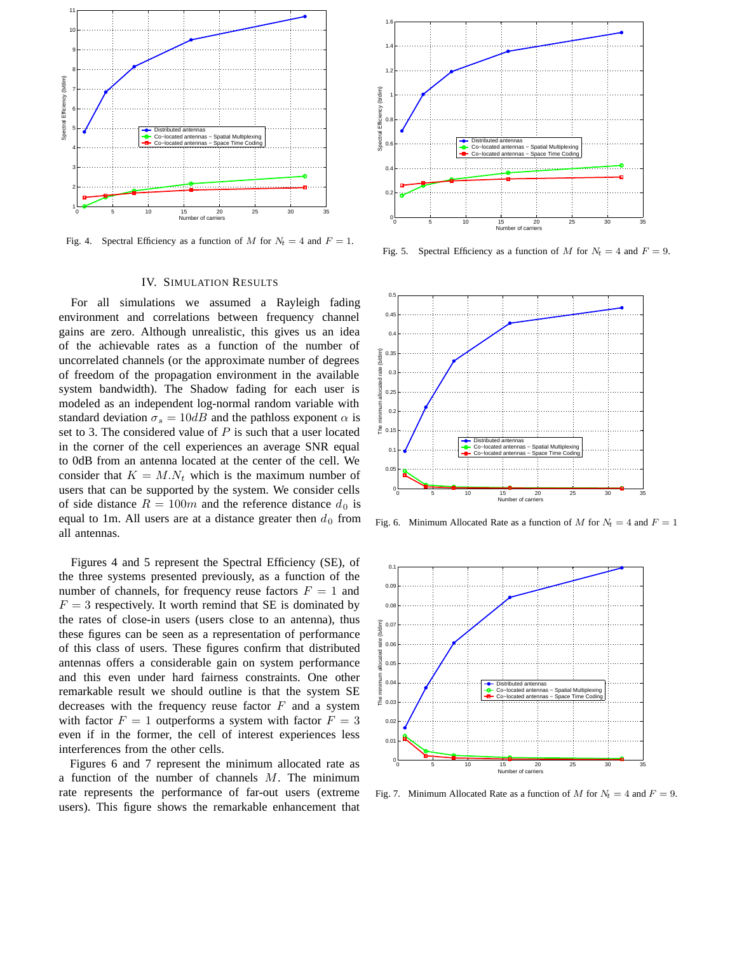

Fig. 4. Spectral Efficiency as a function of *M* for  $N_t = 4$  and  $F = 1$ .

## IV. SIMULATION RESULTS

For all simulations we assumed a Rayleigh fading environment and correlations between frequency channel gains are zero. Although unrealistic, this gives us an idea of the achievable rates as a function of the number of uncorrelated channels (or the approximate number of degrees of freedom of the propagation environment in the available system bandwidth). The Shadow fading for each user is modeled as an independent log-normal random variable with standard deviation  $\sigma_s = 10dB$  and the pathloss exponent  $\alpha$  is set to 3. The considered value of  $P$  is such that a user located in the corner of the cell experiences an average SNR equal to 0dB from an antenna located at the center of the cell. We consider that  $K = M.N_t$  which is the maximum number of users that can be supported by the system. We consider cells of side distance  $R = 100m$  and the reference distance  $d_0$  is equal to 1m. All users are at a distance greater then  $d_0$  from all antennas.

Figures 4 and 5 represent the Spectral Efficiency (SE), of the three systems presented previously, as a function of the number of channels, for frequency reuse factors  $F = 1$  and  $F = 3$  respectively. It worth remind that SE is dominated by the rates of close-in users (users close to an antenna), thus these figures can be seen as a representation of performance of this class of users. These figures confirm that distributed antennas offers a considerable gain on system performance and this even under hard fairness constraints. One other remarkable result we should outline is that the system SE decreases with the frequency reuse factor  $F$  and a system with factor  $F = 1$  outperforms a system with factor  $F = 3$ even if in the former, the cell of interest experiences less interferences from the other cells.

Figures 6 and 7 represent the minimum allocated rate as a function of the number of channels  $M$ . The minimum rate represents the performance of far-out users (extreme users). This figure shows the remarkable enhancement that



Fig. 5. Spectral Efficiency as a function of *M* for  $N_t = 4$  and  $F = 9$ .



Fig. 6. Minimum Allocated Rate as a function of *M* for  $N_t = 4$  and  $F = 1$ 



Fig. 7. Minimum Allocated Rate as a function of *M* for  $N_t = 4$  and  $F = 9$ .